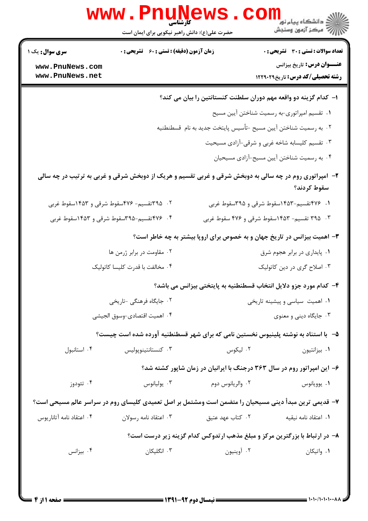| <b>تعداد سوالات : تستی : 30 ٪ تشریحی : 0</b><br><b>زمان آزمون (دقیقه) : تستی : 60 ٪ تشریحی : 0</b><br><b>سری سوال :</b> یک ۱<br><b>عنـــوان درس:</b> تاریخ بیزانس<br>www.PnuNews.com<br>www.PnuNews.net<br><b>رشته تحصیلی/کد درس:</b> تاریخ1۲۲۹۰۲۹<br>ا– کدام گزینه دو واقعه مهم دوران سلطنت کنستانتین را بیان می کند؟<br>٠١ تقسيم امپراتوري-به رسميت شناختن آيين مسيح<br>٠٢ به رسميت شناختن آيين مسيح -تأسيس پايتخت جديد به نام  قسطنطنيه<br>۰۳ تقسیم کلیسابه شاخه غربی و شرقی-آزادی مسیحیت<br>۰۴ به رسمیت شناختن آیین مسیح-آزادی مسیحیان<br>۲- آمپراتوری روم در چه سالی به دوبخش شرقی و غربی تقسیم و هریک از دوبخش شرقی و غربی به ترتیب در چه سالی<br>سقوط كردند؟<br>۰۲ ـ ۳۹۵تقسیم- ۴۷۶سقوط شرقی و ۱۴۵۳سقوط غربی<br>۰۱ ۴۷۶ تقسیم-۱۴۵۳سقوط شرقی و ۳۹۵سقوط غربی<br>۰۴ ۳۷۶ تقسیم-۳۹۵سقوط شرقی و ۱۴۵۳سقوط غربی<br>۰۳ . ۳۹۵ تقسیم- ۱۴۵۳سقوط شرقی و ۴۷۶ سقوط غربی<br>۰۳ اهمیت بیزانس در تاریخ جهان و به خصوص برای اروپا بیشتر به چه خاطر است؟<br>۰۲ مقاومت در برابر ژرمن ها<br>۰۱ پایداری در برابر هجوم شرق<br>۰۴ مخالفت با قدرت کلیسا کاتولیک<br>۰۳ اصلاح گری در دین کاتولیک<br>۴- كدام مورد جزو دلايل انتخاب قسطنطنيه به پايتختي بيزانس مي باشد؟<br>۰۲ جایگاه فرهنگی -تاریخی<br>۰۱ اهمیت سیاسی و پیشینه تاریخی<br>۰۴ اهميت اقتصادي-وسوق الجيشي<br>۰۳ جایگاه دینی و معنوی<br>۵– با استناد به نوشته پلینیوس نخستین نامی که برای شهر قسطنطنیه آورده شده است چیست؟<br>۰۴ استانبول<br>۰۳ كنستانتينويوليس<br>۰۲ لیکوس<br>٠١ بيزانتيون<br>۶- این امپراتور روم در سال ۳۶۳ درجنگ با ایرانیان در زمان شاپور کشته شد؟<br>۰۴ تئودوز<br>يوليانوس $\cdot$ ۳<br>۰۲ والريانوس دوم<br>۰۱ يوويانوس<br>۷– قدیمی ترین مبدأ دینی مسیحیان را متضمن است ومشتمل بر اصل تعمیدی کلیسای روم در سراسر عالم مسیحی است؟<br>۰۲ کتاب عهد عتيق<br>٠١. اعتقاد نامه نيقيه<br>۰۴ اعتقاد نامه آتاناريوس<br>۰۳ اعتقاد نامه رسولان<br>۸- در ارتباط با بزرگترین مرکز و مبلغ مذهب ارتدوکس کدام گزینه زیر درست است؟<br>۰۳ انگلیکان<br>بيزانس $\cdot$ ۴<br>۰۲ آوينيون<br>۰۱ واتیکان |  | <b>WWW.FNUNE</b><br>کار شناسی<br>حضرت علی(ع): دانش راهبر نیکویی برای ایمان است |  | دانشگاه پیام نور<br>ایج دانشگاه پیام نور<br>ایج مرکز آزمون وسنجش |
|----------------------------------------------------------------------------------------------------------------------------------------------------------------------------------------------------------------------------------------------------------------------------------------------------------------------------------------------------------------------------------------------------------------------------------------------------------------------------------------------------------------------------------------------------------------------------------------------------------------------------------------------------------------------------------------------------------------------------------------------------------------------------------------------------------------------------------------------------------------------------------------------------------------------------------------------------------------------------------------------------------------------------------------------------------------------------------------------------------------------------------------------------------------------------------------------------------------------------------------------------------------------------------------------------------------------------------------------------------------------------------------------------------------------------------------------------------------------------------------------------------------------------------------------------------------------------------------------------------------------------------------------------------------------------------------------------------------------------------------------------------------------------------------------------------------------------------------------------------------------------------------------------------------------------------------|--|--------------------------------------------------------------------------------|--|------------------------------------------------------------------|
|                                                                                                                                                                                                                                                                                                                                                                                                                                                                                                                                                                                                                                                                                                                                                                                                                                                                                                                                                                                                                                                                                                                                                                                                                                                                                                                                                                                                                                                                                                                                                                                                                                                                                                                                                                                                                                                                                                                                        |  |                                                                                |  |                                                                  |
|                                                                                                                                                                                                                                                                                                                                                                                                                                                                                                                                                                                                                                                                                                                                                                                                                                                                                                                                                                                                                                                                                                                                                                                                                                                                                                                                                                                                                                                                                                                                                                                                                                                                                                                                                                                                                                                                                                                                        |  |                                                                                |  |                                                                  |
|                                                                                                                                                                                                                                                                                                                                                                                                                                                                                                                                                                                                                                                                                                                                                                                                                                                                                                                                                                                                                                                                                                                                                                                                                                                                                                                                                                                                                                                                                                                                                                                                                                                                                                                                                                                                                                                                                                                                        |  |                                                                                |  |                                                                  |
|                                                                                                                                                                                                                                                                                                                                                                                                                                                                                                                                                                                                                                                                                                                                                                                                                                                                                                                                                                                                                                                                                                                                                                                                                                                                                                                                                                                                                                                                                                                                                                                                                                                                                                                                                                                                                                                                                                                                        |  |                                                                                |  |                                                                  |
|                                                                                                                                                                                                                                                                                                                                                                                                                                                                                                                                                                                                                                                                                                                                                                                                                                                                                                                                                                                                                                                                                                                                                                                                                                                                                                                                                                                                                                                                                                                                                                                                                                                                                                                                                                                                                                                                                                                                        |  |                                                                                |  |                                                                  |
|                                                                                                                                                                                                                                                                                                                                                                                                                                                                                                                                                                                                                                                                                                                                                                                                                                                                                                                                                                                                                                                                                                                                                                                                                                                                                                                                                                                                                                                                                                                                                                                                                                                                                                                                                                                                                                                                                                                                        |  |                                                                                |  |                                                                  |
|                                                                                                                                                                                                                                                                                                                                                                                                                                                                                                                                                                                                                                                                                                                                                                                                                                                                                                                                                                                                                                                                                                                                                                                                                                                                                                                                                                                                                                                                                                                                                                                                                                                                                                                                                                                                                                                                                                                                        |  |                                                                                |  |                                                                  |
|                                                                                                                                                                                                                                                                                                                                                                                                                                                                                                                                                                                                                                                                                                                                                                                                                                                                                                                                                                                                                                                                                                                                                                                                                                                                                                                                                                                                                                                                                                                                                                                                                                                                                                                                                                                                                                                                                                                                        |  |                                                                                |  |                                                                  |
|                                                                                                                                                                                                                                                                                                                                                                                                                                                                                                                                                                                                                                                                                                                                                                                                                                                                                                                                                                                                                                                                                                                                                                                                                                                                                                                                                                                                                                                                                                                                                                                                                                                                                                                                                                                                                                                                                                                                        |  |                                                                                |  |                                                                  |
|                                                                                                                                                                                                                                                                                                                                                                                                                                                                                                                                                                                                                                                                                                                                                                                                                                                                                                                                                                                                                                                                                                                                                                                                                                                                                                                                                                                                                                                                                                                                                                                                                                                                                                                                                                                                                                                                                                                                        |  |                                                                                |  |                                                                  |
|                                                                                                                                                                                                                                                                                                                                                                                                                                                                                                                                                                                                                                                                                                                                                                                                                                                                                                                                                                                                                                                                                                                                                                                                                                                                                                                                                                                                                                                                                                                                                                                                                                                                                                                                                                                                                                                                                                                                        |  |                                                                                |  |                                                                  |
|                                                                                                                                                                                                                                                                                                                                                                                                                                                                                                                                                                                                                                                                                                                                                                                                                                                                                                                                                                                                                                                                                                                                                                                                                                                                                                                                                                                                                                                                                                                                                                                                                                                                                                                                                                                                                                                                                                                                        |  |                                                                                |  |                                                                  |
|                                                                                                                                                                                                                                                                                                                                                                                                                                                                                                                                                                                                                                                                                                                                                                                                                                                                                                                                                                                                                                                                                                                                                                                                                                                                                                                                                                                                                                                                                                                                                                                                                                                                                                                                                                                                                                                                                                                                        |  |                                                                                |  |                                                                  |
|                                                                                                                                                                                                                                                                                                                                                                                                                                                                                                                                                                                                                                                                                                                                                                                                                                                                                                                                                                                                                                                                                                                                                                                                                                                                                                                                                                                                                                                                                                                                                                                                                                                                                                                                                                                                                                                                                                                                        |  |                                                                                |  |                                                                  |
|                                                                                                                                                                                                                                                                                                                                                                                                                                                                                                                                                                                                                                                                                                                                                                                                                                                                                                                                                                                                                                                                                                                                                                                                                                                                                                                                                                                                                                                                                                                                                                                                                                                                                                                                                                                                                                                                                                                                        |  |                                                                                |  |                                                                  |
|                                                                                                                                                                                                                                                                                                                                                                                                                                                                                                                                                                                                                                                                                                                                                                                                                                                                                                                                                                                                                                                                                                                                                                                                                                                                                                                                                                                                                                                                                                                                                                                                                                                                                                                                                                                                                                                                                                                                        |  |                                                                                |  |                                                                  |
|                                                                                                                                                                                                                                                                                                                                                                                                                                                                                                                                                                                                                                                                                                                                                                                                                                                                                                                                                                                                                                                                                                                                                                                                                                                                                                                                                                                                                                                                                                                                                                                                                                                                                                                                                                                                                                                                                                                                        |  |                                                                                |  |                                                                  |
|                                                                                                                                                                                                                                                                                                                                                                                                                                                                                                                                                                                                                                                                                                                                                                                                                                                                                                                                                                                                                                                                                                                                                                                                                                                                                                                                                                                                                                                                                                                                                                                                                                                                                                                                                                                                                                                                                                                                        |  |                                                                                |  |                                                                  |
|                                                                                                                                                                                                                                                                                                                                                                                                                                                                                                                                                                                                                                                                                                                                                                                                                                                                                                                                                                                                                                                                                                                                                                                                                                                                                                                                                                                                                                                                                                                                                                                                                                                                                                                                                                                                                                                                                                                                        |  |                                                                                |  |                                                                  |
|                                                                                                                                                                                                                                                                                                                                                                                                                                                                                                                                                                                                                                                                                                                                                                                                                                                                                                                                                                                                                                                                                                                                                                                                                                                                                                                                                                                                                                                                                                                                                                                                                                                                                                                                                                                                                                                                                                                                        |  |                                                                                |  |                                                                  |
|                                                                                                                                                                                                                                                                                                                                                                                                                                                                                                                                                                                                                                                                                                                                                                                                                                                                                                                                                                                                                                                                                                                                                                                                                                                                                                                                                                                                                                                                                                                                                                                                                                                                                                                                                                                                                                                                                                                                        |  |                                                                                |  |                                                                  |
|                                                                                                                                                                                                                                                                                                                                                                                                                                                                                                                                                                                                                                                                                                                                                                                                                                                                                                                                                                                                                                                                                                                                                                                                                                                                                                                                                                                                                                                                                                                                                                                                                                                                                                                                                                                                                                                                                                                                        |  |                                                                                |  |                                                                  |
|                                                                                                                                                                                                                                                                                                                                                                                                                                                                                                                                                                                                                                                                                                                                                                                                                                                                                                                                                                                                                                                                                                                                                                                                                                                                                                                                                                                                                                                                                                                                                                                                                                                                                                                                                                                                                                                                                                                                        |  |                                                                                |  |                                                                  |
|                                                                                                                                                                                                                                                                                                                                                                                                                                                                                                                                                                                                                                                                                                                                                                                                                                                                                                                                                                                                                                                                                                                                                                                                                                                                                                                                                                                                                                                                                                                                                                                                                                                                                                                                                                                                                                                                                                                                        |  |                                                                                |  |                                                                  |

 $\mathbf{I}$  )  $\cdot$  )  $\cdot$  )  $\cdot$  )  $\cdot$  )  $\cdot$  ,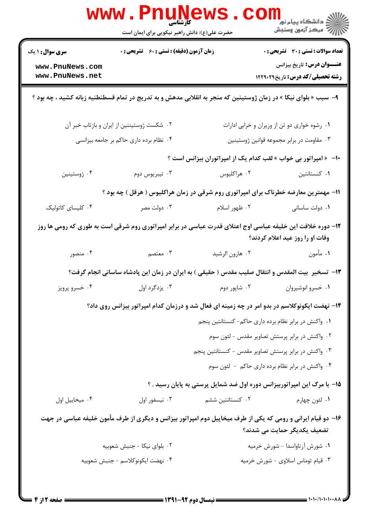|                                                                                                                                                | www . Pnu<br><b>کارشناسی</b><br>حضرت علی(ع): دانش راهبر نیکویی برای ایمان است                                     |                                   | ران دانشگاه پيام نور <mark>−</mark><br>ا∛ مرکز آزمون وسنجش                                                                                 |  |
|------------------------------------------------------------------------------------------------------------------------------------------------|-------------------------------------------------------------------------------------------------------------------|-----------------------------------|--------------------------------------------------------------------------------------------------------------------------------------------|--|
| <b>سری سوال : ۱ یک</b>                                                                                                                         | <b>زمان آزمون (دقیقه) : تستی : 60 ٪ تشریحی : 0</b>                                                                |                                   | <b>تعداد سوالات : تستی : 30 ٪ تشریحی : 0</b>                                                                                               |  |
| www.PnuNews.com                                                                                                                                |                                                                                                                   |                                   | <b>عنـــوان درس:</b> تاریخ بیزانس                                                                                                          |  |
| www.PnuNews.net                                                                                                                                |                                                                                                                   |                                   | <b>رشته تحصیلی/کد درس:</b> تاریخ1۲۲۹۰۲۹                                                                                                    |  |
|                                                                                                                                                | ۹–  سبب « بلوای نیکا » در زمان ژوستینین که منجر به انقلابی مدهش و به تدریج در تمام قسطنطنیه زبانه کشید ، چه بود ؟ |                                   |                                                                                                                                            |  |
|                                                                                                                                                | ۰۲ شکست ژوستیننین از ایران و بازتاب خبر آن                                                                        |                                   | ۰۱ رشوه خواری دو تن از وزیران و خرابی ادارات                                                                                               |  |
|                                                                                                                                                | ۰۴ نظام برده داري حاكم بر جامعه بيزانسي                                                                           |                                   | ۰۳ مقاومت در برابر مجموعه قوانین ژوستینین                                                                                                  |  |
| +ا-۔« امپراتور بی خواب » لقب کدام یک از امپراتوران بیزانس است ؟                                                                                |                                                                                                                   |                                   |                                                                                                                                            |  |
| ۰۴ ژوستينين                                                                                                                                    | ۰۳ تيبريوس دوم                                                                                                    | ۰۲ هراکليوس                       | ۰۱ کنستانتین                                                                                                                               |  |
| 1۱- مهمترین معارضه خطرناک برای امپراتوری روم شرقی در زمان هراکلیوس ( هرقل ) چه بود ؟                                                           |                                                                                                                   |                                   |                                                                                                                                            |  |
| ۰۴ کلیسای کاتولیک                                                                                                                              | ۰۳ دولت مصر                                                                                                       | ۰۲ ظهور اسلام                     | ۰۱ دولت ساسانی                                                                                                                             |  |
| ۱۲– دوره خلافت این خلیفه عباسی اوج اعتلای قدرت عباسی در برابر امپراتوری روم شرقی است به طوری که رومی ها روز<br>وفات او را روز عید اعلام کردند؟ |                                                                                                                   |                                   |                                                                                                                                            |  |
| ۰۴ منصور                                                                                                                                       | ۰۳ معتصم                                                                                                          | ۰۲ هارون الرشيد                   | ۰۱ مأمون                                                                                                                                   |  |
| ۱۳- تسخیر ًبیت المقدس و انتقال صلیب مقدس ( حقیقی ) به ایران در زمان این پادشاه ساسانی انجام گرفت؟                                              |                                                                                                                   |                                   |                                                                                                                                            |  |
| ۰۴ خسرو پرویز                                                                                                                                  | ۰۳ پزدگرد اول                                                                                                     | ۰۲ شایور دوم                      | ۰۱ خسرو انوشیروان                                                                                                                          |  |
|                                                                                                                                                |                                                                                                                   |                                   | ۱۴- نهضت ایکونوکلاسم در بدو امر در چه زمینه ای فعال شد و درزمان کدام امپراتور بیزانس روی داد؟                                              |  |
|                                                                                                                                                |                                                                                                                   |                                   | ۰۱ واکنش در برابر نظام برده داری حاکم- کنستانتین پنجم                                                                                      |  |
|                                                                                                                                                |                                                                                                                   |                                   | ۰۲ واکنش در برابر پرستش تصاویر مقدس - لئون سوم                                                                                             |  |
|                                                                                                                                                |                                                                                                                   |                                   | ۰۳ واکنش در برابر پرستش تصاویر مقدس - کنستانتین پنجم                                                                                       |  |
|                                                                                                                                                |                                                                                                                   |                                   | ۰۴ واکنش در برابر نظام برده داری حاکم - لئون سوم                                                                                           |  |
|                                                                                                                                                |                                                                                                                   |                                   | 15- با مرگ این امپراتوربیزانس دوره اول ضد شمایل پرستی به پایان رسید . ؟                                                                    |  |
| ۰۴ میخاییل اول                                                                                                                                 | ۰۳ نیسفور اول                                                                                                     | ۰۲ کنستانتین ششم                  | ۰۱ لئون چهارم                                                                                                                              |  |
|                                                                                                                                                |                                                                                                                   |                                   | ۱۶- دو قیام ایرانی و رومی که یکی از طرف میخاییل دوم امپراتور بیزانس و دیگری از طرف مأمون خلیفه عباسی در جهت<br>تضعیف یکدیگر حمایت می شدند؟ |  |
|                                                                                                                                                | ٠٢ بلواي نيكا - جنبش شعوبيه                                                                                       |                                   | ٠١ شورش آرتاواسدا - شورش خرميه                                                                                                             |  |
| ۴. نهضت ايكونوكلاسم – جنبش شعوبيه                                                                                                              |                                                                                                                   | ۰۳ قیام توماس اسلاوی - شورش خرمیه |                                                                                                                                            |  |
| = صفحه 12ز 4 <del>-</del>                                                                                                                      |                                                                                                                   |                                   |                                                                                                                                            |  |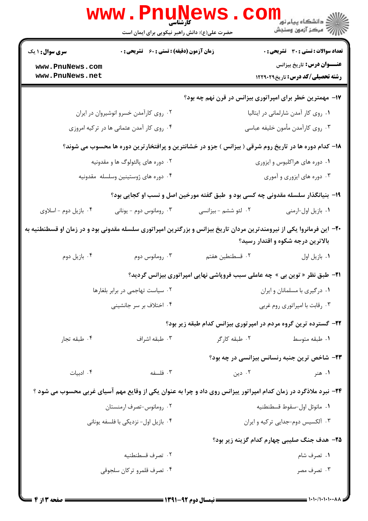|                                      | <b>www.PnuNews</b>                                                                                                    |                                                                                    |                                                                                            |
|--------------------------------------|-----------------------------------------------------------------------------------------------------------------------|------------------------------------------------------------------------------------|--------------------------------------------------------------------------------------------|
|                                      | حضرت علی(ع): دانش راهبر نیکویی برای ایمان است                                                                         |                                                                                    |                                                                                            |
| <b>سری سوال : ۱ یک</b>               | زمان آزمون (دقیقه) : تستی : 60 گشریحی : 0                                                                             |                                                                                    | <b>تعداد سوالات : تستی : 30 ٪ تشریحی : 0</b>                                               |
| www.PnuNews.com<br>www.PnuNews.net   |                                                                                                                       |                                                                                    | <b>عنـــوان درس:</b> تاریخ بیزانس<br><b>رشته تحصیلی/کد درس:</b> تاریخ۲۹۰۲۹ <b>۱۲۲۹</b> ۰۲۹ |
|                                      |                                                                                                                       | ۱۷- مهمترین خطر برای امپراتوری بیزانس در قرن نهم چه بود؟                           |                                                                                            |
|                                      | ۰۲ روی کارآمدن خسرو انوشیروان در ایران                                                                                |                                                                                    | ٠١ روى كار أمدن شارلماني در ايتاليا                                                        |
|                                      | ۰۴ روی کار آمدن عثمانی ها در ترکیه امروزی                                                                             | ۰۳ روی کارآمدن مأمون خلیفه عباسی                                                   |                                                                                            |
|                                      | ۱۸– کدام دوره ها در تاریخ روم شرقی ( بیزانس ) جزو در خشانترین و پرافتخارترین دوره ها محسوب می شوند؟                   |                                                                                    |                                                                                            |
| ۰۲ دوره های پالئولوگ ها و مقدونیه    |                                                                                                                       |                                                                                    | ۰۱ دوره های هراکلیوس و ایزوری                                                              |
| ۰۴ دوره های ژوستینین وسلسله مقدونیه  |                                                                                                                       |                                                                                    | ۰۳ دوره های ایزوری و آموری                                                                 |
|                                      |                                                                                                                       | ۱۹- بنیانگذار سلسله مقدونی چه کسی بود و  طبق گفته مورخین اصل و نسب او کجایی بود؟   |                                                                                            |
| ۰۴ بازیل دوم - اسلاوی                | ۰۳ رومانوس دوم - يونانى                                                                                               | ۰۲ لئو ششم - بيزانسي                                                               | ١. بازيل اول⊣رمنى                                                                          |
|                                      | +۲- این فرمانروا یکی از نیرومندترین مردان تاریخ بیزانس و بزرگترین امپراتوری سلسله مقدونی بود و در زمان او قسطنطنیه به |                                                                                    | بالاترین درجه شکوه و اقتدار رسید؟                                                          |
| ۰۴ بازيل دوم                         | ومانوس دوم $\cdot^{\mathfrak{r}}$                                                                                     | ٢. قسطنطين هفتم                                                                    | ٠١. بازيل اول                                                                              |
|                                      |                                                                                                                       | <b>۲۱</b> - طبق نظر « توین بی » چه عاملی سبب فروپاشی نهایی امپراتوری بیزانس گردید؟ |                                                                                            |
|                                      | ۰۲ سیاست تهاجمی در برابر بلغارها                                                                                      | ٠١ درگيري با مسلمانان و ايران                                                      |                                                                                            |
| ۰۴ اختلاف بر سر جانشینی              |                                                                                                                       | ۰۳ رقابت با امپراتوری روم غربی                                                     |                                                                                            |
|                                      |                                                                                                                       | ۲۲- گسترده ترین گروه مردم در امپرتوری بیزانس کدام طبقه زیر بود؟                    |                                                                                            |
| ۰۴ طبقه تجار                         | ۰۳ طبقه اشراف                                                                                                         | ۰۲ طبقه کارگر                                                                      | ۰۱ طبقه متوسط                                                                              |
|                                      |                                                                                                                       |                                                                                    | ۲۳- شاخص ترین جنبه رنسانس بیزانسی در چه بود؟                                               |
| ۰۴ ادبیات                            | ۰۳ فلسفه                                                                                                              | ۰۲ دین                                                                             | ۰۱ هنر                                                                                     |
|                                      | ۲۴- نبرد ملاذگرد در زمان کدام امپراتور پیزانس روی داد و چرا به عنوان یکی از وقایع مهم آسیای غربی محسوب می شود ؟       |                                                                                    |                                                                                            |
| ۰۲ رومانوس-تصرف ارمنستان             |                                                                                                                       | ٠١ مانوئل اول-سقوط قسطنطنيه                                                        |                                                                                            |
| ۰۴ بازیل اول- نزدیکی با فلسفه یونانی |                                                                                                                       | ۰۳ آلکسیس دوم-جدایی ترکیه و ایران                                                  |                                                                                            |
|                                      |                                                                                                                       |                                                                                    | ۲۵– هدف جنگ صلیبی چهارم کدام گزینه زیر بود؟                                                |
|                                      | ٠٢ تصرف قسطنطنيه                                                                                                      |                                                                                    | ۰۱ تصرف شام                                                                                |
|                                      | ۰۴ تصرف قلمرو تركان سلجوقى                                                                                            |                                                                                    | ۰۳ تصرف مصر                                                                                |